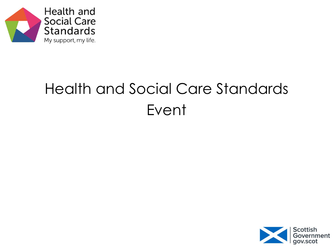

# Health and Social Care Standards Event

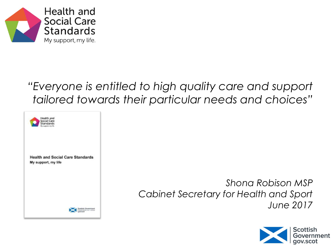

#### *"Everyone is entitled to high quality care and support tailored towards their particular needs and choices"*



*Shona Robison MSP Cabinet Secretary for Health and Sport June 2017*

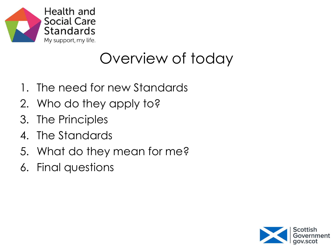

#### Overview of today

- 1. The need for new Standards
- 2. Who do they apply to?
- 3. The Principles
- 4. The Standards
- 5. What do they mean for me?
- 6. Final questions

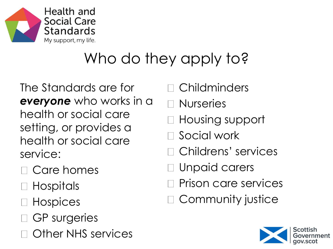

# Who do they apply to?

The Standards are for *everyone* who works in a health or social care setting, or provides a health or social care service:

- □ Care homes
- Hospitals
- □ Hospices
- GP surgeries
- Other NHS services
- Childminders
- Nurseries
- Housing support
- Social work
- Childrens' services
- Unpaid carers
- Prison care services
- Community justice

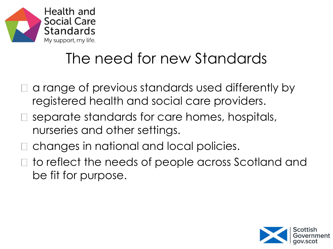

### The need for new Standards

- a range of previous standards used differently by registered health and social care providers.
- separate standards for care homes, hospitals, nurseries and other settings.
- changes in national and local policies.
- □ to reflect the needs of people across Scotland and be fit for purpose.

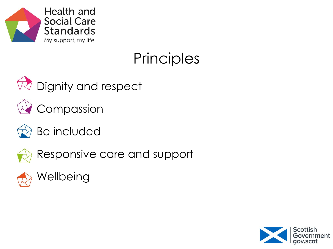

# **Principles**



 $\overline{\mathbb{R}}$  Dignity and respect



 $\bigcirc$  Compassion



Be included



Responsive care and support



Wellbeing

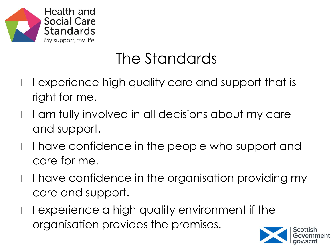

### The Standards

- I experience high quality care and support that is right for me.
- $\Box$  I am fully involved in all decisions about my care and support.
- □ I have confidence in the people who support and care for me.
- $\Box$  I have confidence in the organisation providing my care and support.
- $\Box$  I experience a high quality environment if the organisation provides the premises.

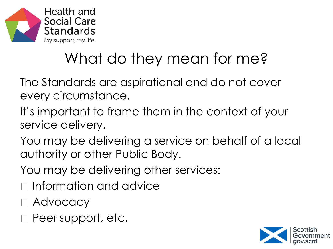

# What do they mean for me?

The Standards are aspirational and do not cover every circumstance.

- It's important to frame them in the context of your service delivery.
- You may be delivering a service on behalf of a local authority or other Public Body.
- You may be delivering other services:
- $\Box$  Information and advice
- □ Advocacy
- □ Peer support, etc.

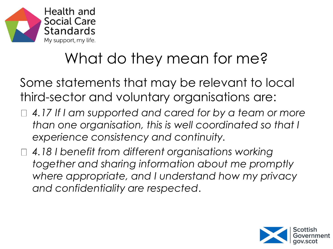

# What do they mean for me?

Some statements that may be relevant to local third-sector and voluntary organisations are:

- *4.17 If I am supported and cared for by a team or more than one organisation, this is well coordinated so that I experience consistency and continuity.*
- *4.18 I benefit from different organisations working together and sharing information about me promptly where appropriate, and I understand how my privacy and confidentiality are respected*.

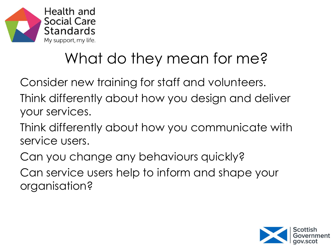

# What do they mean for me?

Consider new training for staff and volunteers.

- Think differently about how you design and deliver your services.
- Think differently about how you communicate with service users.
- Can you change any behaviours quickly? Can service users help to inform and shape your organisation?